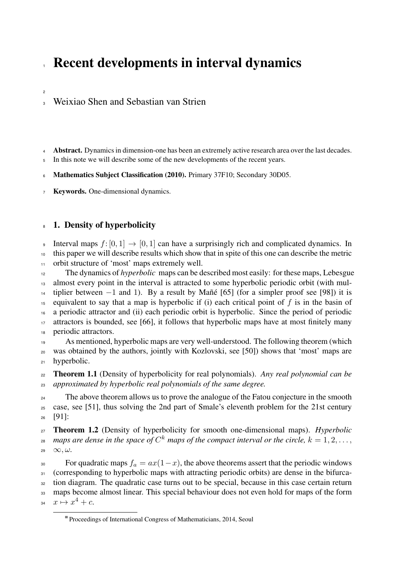# **Recent developments in interval dynamics**

## <sup>3</sup> Weixiao Shen and Sebastian van Strien

Abstract. Dynamics in dimension-one has been an extremely active research area over the last decades.

5 In this note we will describe some of the new developments of the recent years.

Mathematics Subject Classification (2010). Primary 37F10; Secondary 30D05.

7 Keywords. One-dimensional dynamics.

## 8 1. Density of hyperbolicity

2

Interval maps  $f: [0, 1] \rightarrow [0, 1]$  can have a surprisingly rich and complicated dynamics. In <sup>10</sup> this paper we will describe results which show that in spite of this one can describe the metric <sup>11</sup> orbit structure of 'most' maps extremely well.

<sup>12</sup> The dynamics of *hyperbolic* maps can be described most easily: for these maps, Lebesgue <sup>13</sup> almost every point in the interval is attracted to some hyperbolic periodic orbit (with mul-<sup>14</sup> tiplier between  $-1$  and 1). By a result by Mañé [65] (for a simpler proof see [98]) it is <sup>15</sup> equivalent to say that a map is hyperbolic if (i) each critical point of *f* is in the basin of <sup>16</sup> a periodic attractor and (ii) each periodic orbit is hyperbolic. Since the period of periodic

 $17$  attractors is bounded, see [66], it follows that hyperbolic maps have at most finitely many <sup>18</sup> periodic attractors.

<sup>19</sup> As mentioned, hyperbolic maps are very well-understood. The following theorem (which <sup>20</sup> was obtained by the authors, jointly with Kozlovski, see [50]) shows that 'most' maps are <sup>21</sup> hyperbolic.

<sup>22</sup> Theorem 1.1 (Density of hyperbolicity for real polynomials). *Any real polynomial can be* <sup>23</sup> *approximated by hyperbolic real polynomials of the same degree.*

<sup>24</sup> The above theorem allows us to prove the analogue of the Fatou conjecture in the smooth <sup>25</sup> case, see [51], thus solving the 2nd part of Smale's eleventh problem for the 21st century <sup>26</sup> [91]:

<sup>27</sup> Theorem 1.2 (Density of hyperbolicity for smooth one-dimensional maps). *Hyperbolic maps are dense in the space of*  $C^k$  *maps of the compact interval or the circle,*  $k = 1, 2, \ldots$ , 29  $\infty, \omega$ .

<sup>30</sup> For quadratic maps  $f_a = ax(1-x)$ , the above theorems assert that the periodic windows <sup>31</sup> (corresponding to hyperbolic maps with attracting periodic orbits) are dense in the bifurca-<sup>32</sup> tion diagram. The quadratic case turns out to be special, because in this case certain return <sup>33</sup> maps become almost linear. This special behaviour does not even hold for maps of the form  $x \mapsto x^4 + c$ .

Proceedings of International Congress of Mathematicians, 2014, Seoul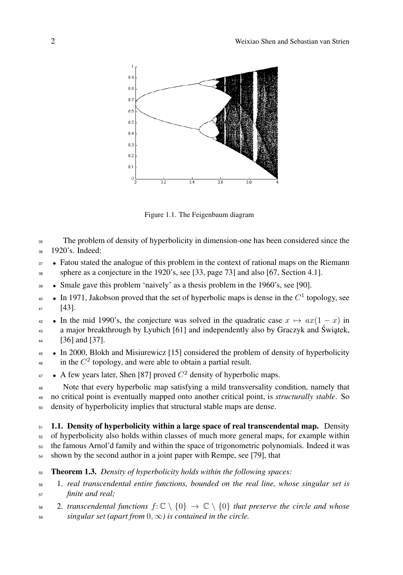

Figure 1.1. The Feigenbaum diagram

 The problem of density of hyperbolicity in dimension-one has been considered since the 1920's. Indeed:

<sup>37</sup> • Fatou stated the analogue of this problem in the context of rational maps on the Riemann sphere as a conjecture in the 1920's, see [33, page 73] and also [67, Section 4.1].

<sup>39</sup> • Smale gave this problem 'naively' as a thesis problem in the 1960's, see [90].

 $\bullet$  **In** 1971, Jakobson proved that the set of hyperbolic maps is dense in the  $C<sup>1</sup>$  topology, see [43].

 $\bullet$  In the mid 1990's, the conjecture was solved in the quadratic case  $x \mapsto ax(1-x)$  in a major breakthrough by Lyubich [61] and independently also by Graczyk and Świątek, [36] and [37].

 *•* In 2000, Blokh and Misiurewicz [15] considered the problem of density of hyperbolicity  $\frac{1}{46}$  in the  $C^2$  topology, and were able to obtain a partial result.

 $\bullet$  A few years later, Shen [87] proved  $C^2$  density of hyperbolic maps.

 Note that every hyperbolic map satisfying a mild transversality condition, namely that no critical point is eventually mapped onto another critical point, is *structurally stable*. So density of hyperbolicity implies that structural stable maps are dense.

 1.1. Density of hyperbolicity within a large space of real transcendental map. Density of hyperbolicity also holds within classes of much more general maps, for example within the famous Arnol'd family and within the space of trigonometric polynomials. Indeed it was shown by the second author in a joint paper with Rempe, see [79], that

Theorem 1.3. *Density of hyperbolicity holds within the following spaces:*

 1. *real transcendental entire functions, bounded on the real line, whose singular set is finite and real;*

58 2. transcendental functions  $f: \mathbb{C} \setminus \{0\} \to \mathbb{C} \setminus \{0\}$  that preserve the circle and whose  $s_9$  *singular set (apart from*  $0, \infty$ ) *is contained in the circle.*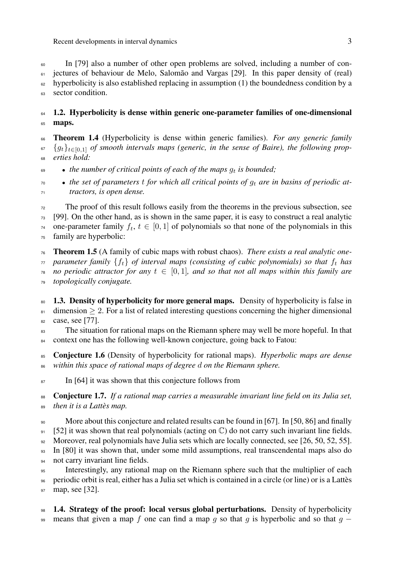Recent developments in interval dynamics 3

<sup>60</sup> In [79] also a number of other open problems are solved, including a number of con-<sup>61</sup> jectures of behaviour de Melo, Salomão and Vargas [29]. In this paper density of (real)  $62$  hyperbolicity is also established replacing in assumption (1) the boundedness condition by a 63 sector condition.

## $64$  1.2. Hyperbolicity is dense within generic one-parameter families of one-dimensional 65 maps.

<sup>66</sup> Theorem 1.4 (Hyperbolicity is dense within generic families). *For any generic family*  $\mathfrak{g}_{t}$  { $g_{t}$ } $_{t\in[0,1]}$  *of smooth intervals maps (generic, in the sense of Baire), the following prop-*<sup>68</sup> *erties hold:*

 $\bullet$  **•** *the number of critical points of each of the maps*  $q_t$  *is bounded;* 

<sup>70</sup> *• the set of parameters t for which all critical points of g<sup>t</sup> are in basins of periodic at-*<sup>71</sup> *tractors, is open dense.*

 The proof of this result follows easily from the theorems in the previous subsection, see [99]. On the other hand, as is shown in the same paper, it is easy to construct a real analytic 74 one-parameter family  $f_t$ ,  $t \in [0, 1]$  of polynomials so that none of the polynomials in this family are hyperbolic:

<sup>76</sup> Theorem 1.5 (A family of cubic maps with robust chaos). *There exists a real analytic one-* $\pi$  *parameter family* { $f_t$ } *of interval maps (consisting of cubic polynomials) so that*  $f_t$  *has*  $\pi$ <sup>8</sup> *no periodic attractor for any*  $t \in [0, 1]$ *, and so that not all maps within this family are* <sup>79</sup> *topologically conjugate.*

<sup>80</sup> 1.3. Density of hyperbolicity for more general maps. Density of hyperbolicity is false in  $\frac{81}{100}$  dimension  $\geq 2$ . For a list of related interesting questions concerning the higher dimensional <sup>82</sup> case, see [77].

<sup>83</sup> The situation for rational maps on the Riemann sphere may well be more hopeful. In that 84 context one has the following well-known conjecture, going back to Fatou:

<sup>85</sup> Conjecture 1.6 (Density of hyperbolicity for rational maps). *Hyperbolic maps are dense* <sup>86</sup> *within this space of rational maps of degree d on the Riemann sphere.*

87 In [64] it was shown that this conjecture follows from

<sup>88</sup> Conjecture 1.7. *If a rational map carries a measurable invariant line field on its Julia set,* <sup>89</sup> *then it is a Lattès map.*

<sup>90</sup> More about this conjecture and related results can be found in [67]. In [50, 86] and finally  $91 \quad [52]$  it was shown that real polynomials (acting on  $\mathbb{C}$ ) do not carry such invariant line fields.

92 Moreover, real polynomials have Julia sets which are locally connected, see [26, 50, 52, 55].

<sup>93</sup> In [80] it was shown that, under some mild assumptions, real transcendental maps also do 94 not carry invariant line fields.

<sup>95</sup> Interestingly, any rational map on the Riemann sphere such that the multiplier of each <sup>96</sup> periodic orbit is real, either has a Julia set which is contained in a circle (or line) or is a Lattès

<sup>97</sup> map, see [32].

98 1.4. Strategy of the proof: local versus global perturbations. Density of hyperbolicity 99 means that given a map f one can find a map q so that q is hyperbolic and so that  $q -$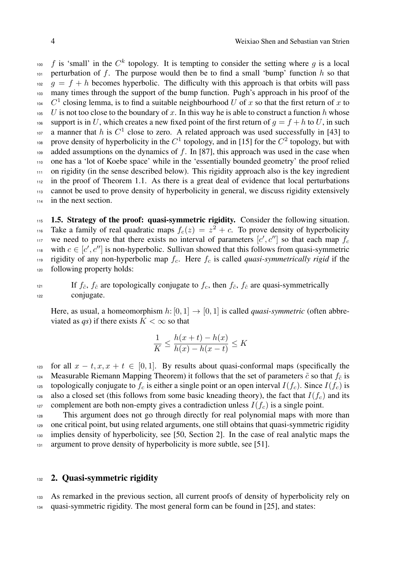$f$  is 'small' in the  $C^k$  topology. It is tempting to consider the setting where *g* is a local 101 perturbation of f. The purpose would then be to find a small 'bump' function  $h$  so that  $g = f + h$  becomes hyperbolic. The difficulty with this approach is that orbits will pass <sup>103</sup> many times through the support of the bump function. Pugh's approach in his proof of the <sup>104</sup> *C*<sup>1</sup> closing lemma, is to find a suitable neighbourhood *U* of *x* so that the first return of *x* to  $105$  *U* is not too close to the boundary of *x*. In this way he is able to construct a function *h* whose 106 support is in U, which creates a new fixed point of the first return of  $q = f + h$  to U, in such <sup>107</sup> a manner that *h* is  $C^1$  close to zero. A related approach was used successfully in [43] to prove density of hyperbolicity in the  $C^1$  topology, and in [15] for the  $C^2$  topology, but with 109 added assumptions on the dynamics of f. In [87], this approach was used in the case when <sup>110</sup> one has a 'lot of Koebe space' while in the 'essentially bounded geometry' the proof relied <sup>111</sup> on rigidity (in the sense described below). This rigidity approach also is the key ingredient <sup>112</sup> in the proof of Theorem 1.1. As there is a great deal of evidence that local perturbations <sup>113</sup> cannot be used to prove density of hyperbolicity in general, we discuss rigidity extensively <sup>114</sup> in the next section.

115 1.5. Strategy of the proof: quasi-symmetric rigidity. Consider the following situation. Take a family of real quadratic maps  $f_c(z) = z^2 + c$ . To prove density of hyperbolicity we need to prove that there exists no interval of parameters  $[c', c'']$  so that each map  $f_c$ with  $c \in [c', c']$  is non-hyperbolic. Sullivan showed that this follows from quasi-symmetric 119 rigidity of any non-hyperbolic map  $f_c$ . Here  $f_c$  is called *quasi-symmetrically rigid* if the <sup>120</sup> following property holds:

121 If  $f_{\tilde{c}}$ ,  $f_{\hat{c}}$  are topologically conjugate to  $f_c$ , then  $f_{\tilde{c}}$ ,  $f_{\hat{c}}$  are quasi-symmetrically <sup>122</sup> conjugate.

Here, as usual, a homeomorphism  $h: [0, 1] \rightarrow [0, 1]$  is called *quasi-symmetric* (often abbreviated as  $qs$ ) if there exists  $K < \infty$  so that

$$
\frac{1}{K} \le \frac{h(x+t) - h(x)}{h(x) - h(x-t)} \le K
$$

123 for all  $x - t, x, x + t \in [0, 1]$ . By results about quasi-conformal maps (specifically the 124 Measurable Riemann Mapping Theorem) it follows that the set of parameters  $\tilde{c}$  so that  $f_{\tilde{c}}$  is topologically conjugate to  $f_c$  is either a single point or an open interval  $I(f_c)$ . Since  $I(f_c)$  is <sup>126</sup> also a closed set (this follows from some basic kneading theory), the fact that  $I(f_c)$  and its 127 complement are both non-empty gives a contradiction unless  $I(f_c)$  is a single point.

 This argument does not go through directly for real polynomial maps with more than one critical point, but using related arguments, one still obtains that quasi-symmetric rigidity implies density of hyperbolicity, see [50, Section 2]. In the case of real analytic maps the 131 argument to prove density of hyperbolicity is more subtle, see [51].

#### 132 2. Quasi-symmetric rigidity

<sup>133</sup> As remarked in the previous section, all current proofs of density of hyperbolicity rely on <sup>134</sup> quasi-symmetric rigidity. The most general form can be found in [25], and states: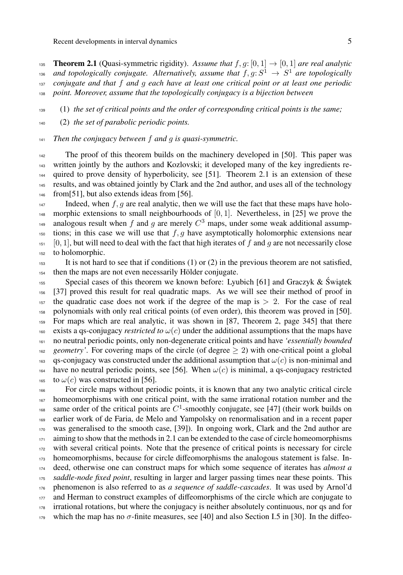**135 Theorem 2.1** (Quasi-symmetric rigidity). Assume that  $f, g: [0, 1] \rightarrow [0, 1]$  are real analytic <sup>136</sup> and topologically conjugate. Alternatively, assume that  $f, g: S^1 \rightarrow S^1$  are topologically *conjugate and that f and g each have at least one critical point or at least one periodic point. Moreover, assume that the topologically conjugacy is a bijection between*

(1) *the set of critical points and the order of corresponding critical points is the same;*

(2) *the set of parabolic periodic points.*

*Then the conjugacy between f and g is quasi-symmetric.*

 The proof of this theorem builds on the machinery developed in [50]. This paper was written jointly by the authors and Kozlovski; it developed many of the key ingredients re-<sup>144</sup> quired to prove density of hyperbolicity, see [51]. Theorem 2.1 is an extension of these results, and was obtained jointly by Clark and the 2nd author, and uses all of the technology 146 from [51], but also extends ideas from [56].

 Indeed, when  $f, g$  are real analytic, then we will use the fact that these maps have holo-148 morphic extensions to small neighbourhoods of  $[0, 1]$ . Nevertheless, in [25] we prove the analogous result when f and g are merely  $C^3$  maps, under some weak additional assump- tions; in this case we will use that  $f, g$  have asymptotically holomorphic extensions near  $151 \quad [0, 1]$ , but will need to deal with the fact that high iterates of f and q are not necessarily close to holomorphic.

 It is not hard to see that if conditions (1) or (2) in the previous theorem are not satisfied, then the maps are not even necessarily Hölder conjugate.

Special cases of this theorem we known before: Lyubich [61] and Graczyk & Świątek [37] proved this result for real quadratic maps. As we will see their method of proof in <sup>157</sup> the quadratic case does not work if the degree of the map is  $> 2$ . For the case of real polynomials with only real critical points (of even order), this theorem was proved in [50]. For maps which are real analytic, it was shown in [87, Theorem 2, page 345] that there <sup>160</sup> exists a qs-conjugacy *restricted to*  $\omega(c)$  under the additional assumptions that the maps have no neutral periodic points, only non-degenerate critical points and have *'essentially bounded* <sup>162</sup> *geometry'*. For covering maps of the circle (of degree  $\geq$  2) with one-critical point a global qs-conjugacy was constructed under the additional assumption that  $\omega(c)$  is non-minimal and <sup>164</sup> have no neutral periodic points, see [56]. When  $\omega(c)$  is minimal, a qs-conjugacy restricted 165 to  $\omega(c)$  was constructed in [56].

 For circle maps without periodic points, it is known that any two analytic critical circle homeomorphisms with one critical point, with the same irrational rotation number and the <sup>168</sup> same order of the critical points are  $C^1$ -smoothly conjugate, see [47] (their work builds on earlier work of de Faria, de Melo and Yampolsky on renormalisation and in a recent paper was generalised to the smooth case, [39]). In ongoing work, Clark and the 2nd author are aiming to show that the methods in 2.1 can be extended to the case of circle homeomorphisms <sup>172</sup> with several critical points. Note that the presence of critical points is necessary for circle <sub>173</sub> homeomorphisms, because for circle diffeomorphisms the analogous statement is false. In- deed, otherwise one can construct maps for which some sequence of iterates has *almost a saddle-node fixed point*, resulting in larger and larger passing times near these points. This phenomenon is also referred to as *a sequence of saddle-cascades*. It was used by Arnol'd and Herman to construct examples of diffeomorphisms of the circle which are conjugate to irrational rotations, but where the conjugacy is neither absolutely continuous, nor qs and for which the map has no  $\sigma$ -finite measures, see [40] and also Section I.5 in [30]. In the diffeo-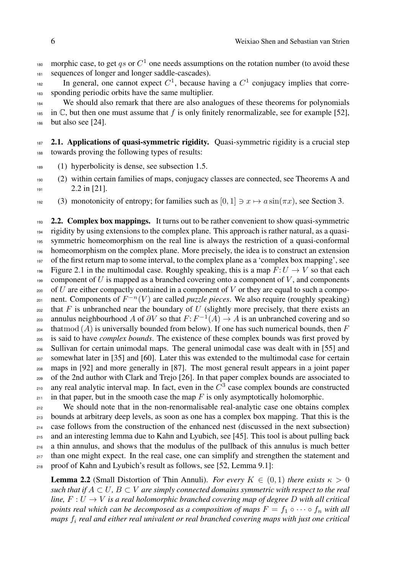- morphic case, to get *qs* or  $C^1$  one needs assumptions on the rotation number (to avoid these 181 sequences of longer and longer saddle-cascades).
- In general, one cannot expect  $C^1$ , because having a  $C^1$  conjugacy implies that corre-<sup>183</sup> sponding periodic orbits have the same multiplier.
- <sup>184</sup> We should also remark that there are also analogues of these theorems for polynomials  $\frac{1}{185}$  in  $\mathbb{C}$ , but then one must assume that f is only finitely renormalizable, see for example [52], <sup>186</sup> but also see [24].
- $187$  2.1. Applications of quasi-symmetric rigidity. Quasi-symmetric rigidity is a crucial step <sup>188</sup> towards proving the following types of results:
- <sup>189</sup> (1) hyperbolicity is dense, see subsection 1.5.
- <sup>190</sup> (2) within certain families of maps, conjugacy classes are connected, see Theorems A and  $191$  2.2 in [21].
- 192 (3) monotonicity of entropy; for families such as  $[0, 1] \ni x \mapsto a \sin(\pi x)$ , see Section 3.

193 2.2. Complex box mappings. It turns out to be rather convenient to show quasi-symmetric <sup>194</sup> rigidity by using extensions to the complex plane. This approach is rather natural, as a quasi-<sup>195</sup> symmetric homeomorphism on the real line is always the restriction of a quasi-conformal <sup>196</sup> homeomorphism on the complex plane. More precisely, the idea is to construct an extension 197 of the first return map to some interval, to the complex plane as a 'complex box mapping', see Figure 2.1 in the multimodal case. Roughly speaking, this is a map  $F: U \to V$  so that each 199 component of  $U$  is mapped as a branched covering onto a component of  $V$ , and components <sup>200</sup> of *U* are either compactly contained in a component of *V* or they are equal to such a compo-<sub>201</sub> nent. Components of  $F^{-n}(V)$  are called *puzzle pieces*. We also require (roughly speaking)  $202$  that *F* is unbranched near the boundary of *U* (slightly more precisely, that there exists an annulus neighbourhood *A* of  $\partial V$  so that  $F: F^{-1}(A) \to A$  is an unbranched covering and so 204 thatmod  $(A)$  is universally bounded from below). If one has such numerical bounds, then  $F$ <sup>205</sup> is said to have *complex bounds*. The existence of these complex bounds was first proved by <sup>206</sup> Sullivan for certain unimodal maps. The general unimodal case was dealt with in [55] and <sup>207</sup> somewhat later in [35] and [60]. Later this was extended to the multimodal case for certain <sup>208</sup> maps in [92] and more generally in [87]. The most general result appears in a joint paper <sup>209</sup> of the 2nd author with Clark and Trejo [26]. In that paper complex bounds are associated to any real analytic interval map. In fact, even in the  $C<sup>3</sup>$  case complex bounds are constructed  $_{211}$  in that paper, but in the smooth case the map  $F$  is only asymptotically holomorphic.

<sup>212</sup> We should note that in the non-renormalisable real-analytic case one obtains complex bounds at arbitrary deep levels, as soon as one has a complex box mapping. That this is the case follows from the construction of the enhanced nest (discussed in the next subsection) and an interesting lemma due to Kahn and Lyubich, see [45]. This tool is about pulling back a thin annulus, and shows that the modulus of the pullback of this annulus is much better <sup>217</sup> than one might expect. In the real case, one can simplify and strengthen the statement and proof of Kahn and Lyubich's result as follows, see [52, Lemma 9.1]:

**Lemma 2.2** (Small Distortion of Thin Annuli). *For every*  $K \in (0,1)$  *there exists*  $\kappa > 0$ *such that if*  $A \subset U$ ,  $B \subset V$  *are simply connected domains symmetric with respect to the real line,*  $F: U \rightarrow V$  *is a real holomorphic branched covering map of degree D with all critical points real which can be decomposed as a composition of maps*  $F = f_1 \circ \cdots \circ f_n$  *with all maps f<sup>i</sup> real and either real univalent or real branched covering maps with just one critical*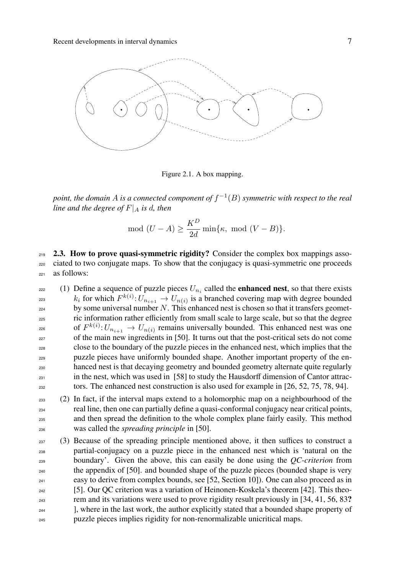

Figure 2.1. A box mapping.

*point, the domain* A *is a connected component of*  $f^{-1}(B)$  *symmetric with respect to the real line and the degree of*  $F|_A$  *is d, then* 

$$
\mod(U-A) \ge \frac{K^D}{2d} \min\{\kappa, \mod(V-B)\}.
$$

 $2.3$ . How to prove quasi-symmetric rigidity? Consider the complex box mappings asso-<sup>220</sup> ciated to two conjugate maps. To show that the conjugacy is quasi-symmetric one proceeds <sup>221</sup> as follows:

- (1) Define a sequence of puzzle pieces  $U_{n_i}$  called the **enhanced nest**, so that there exists *k<sub>i</sub>* for which  $F^{k(i)}: U_{n_{i+1}} \to U_{n(i)}$  is a branched covering map with degree bounded <sup>224</sup> by some universal number *N*. This enhanced nest is chosen so that it transfers geomet-<sup>225</sup> ric information rather eciently from small scale to large scale, but so that the degree of  $F^{k(i)}: U_{n_{i+1}} \to U_{n(i)}$  remains universally bounded. This enhanced nest was one <sup>227</sup> of the main new ingredients in [50]. It turns out that the post-critical sets do not come <sup>228</sup> close to the boundary of the puzzle pieces in the enhanced nest, which implies that the puzzle pieces have uniformly bounded shape. Another important property of the enhanced nest is that decaying geometry and bounded geometry alternate quite regularly  $_{231}$  in the nest, which was used in [58] to study the Hausdorff dimension of Cantor attrac- $232$  tors. The enhanced nest construction is also used for example in [26, 52, 75, 78, 94].
- <sup>233</sup> (2) In fact, if the interval maps extend to a holomorphic map on a neighbourhood of the <sup>234</sup> real line, then one can partially define a quasi-conformal conjugacy near critical points, <sup>235</sup> and then spread the definition to the whole complex plane fairly easily. This method <sup>236</sup> was called the *spreading principle* in [50].
- $237$  (3) Because of the spreading principle mentioned above, it then suffices to construct a <sup>238</sup> partial-conjugacy on a puzzle piece in the enhanced nest which is 'natural on the <sup>239</sup> boundary'. Given the above, this can easily be done using the *QC-criterion* from the appendix of  $[50]$ . and bounded shape of the puzzle pieces (bounded shape is very easy to derive from complex bounds, see [52, Section 10]). One can also proceed as in [5]. Our QC criterion was a variation of Heinonen-Koskela's theorem [42]. This theo-<sup>243</sup> rem and its variations were used to prove rigidity result previously in [34, 41, 56, 83? <sup>244</sup> ], where in the last work, the author explicitly stated that a bounded shape property of <sup>245</sup> puzzle pieces implies rigidity for non-renormalizable unicritical maps.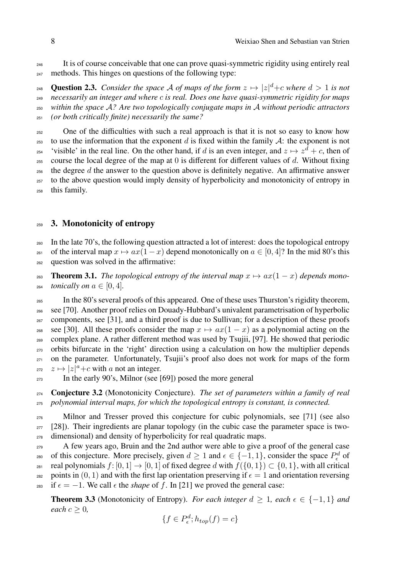<sup>246</sup> It is of course conceivable that one can prove quasi-symmetric rigidity using entirely real <sup>247</sup> methods. This hinges on questions of the following type:

 **Question 2.3.** *Consider the space A of maps of the form*  $z \mapsto |z|^d + c$  *where*  $d > 1$  *is not necessarily an integer and where c is real. Does one have quasi-symmetric rigidity for maps within the space A? Are two topologically conjugate maps in A without periodic attractors (or both critically finite) necessarily the same?*

<sup>252</sup> One of the difficulties with such a real approach is that it is not so easy to know how <sup>253</sup> to use the information that the exponent *d* is fixed within the family  $\mathcal{A}$ : the exponent is not 'visible' in the real line. On the other hand, if *d* is an even integer, and  $z \mapsto z^d + c$ , then of 255 course the local degree of the map at  $0$  is different for different values of  $d$ . Without fixing  $_{256}$  the degree *d* the answer to the question above is definitely negative. An affirmative answer <sup>257</sup> to the above question would imply density of hyperbolicity and monotonicity of entropy in <sup>258</sup> this family.

#### <sup>259</sup> 3. Monotonicity of entropy

<sup>260</sup> In the late 70's, the following question attracted a lot of interest: does the topological entropy <sup>261</sup> of the interval map  $x \mapsto ax(1-x)$  depend monotonically on  $a \in [0, 4]$ ? In the mid 80's this <sup>262</sup> question was solved in the armative:

**263 Theorem 3.1.** *The topological entropy of the interval map*  $x \mapsto ax(1-x)$  *depends mono-*<sup>264</sup> *tonically on*  $a \in [0, 4]$ *.* 

 In the 80's several proofs of this appeared. One of these uses Thurston's rigidity theorem, see [70]. Another proof relies on Douady-Hubbard's univalent parametrisation of hyperbolic components, see [31], and a third proof is due to Sullivan; for a description of these proofs <sup>268</sup> see [30]. All these proofs consider the map  $x \mapsto ax(1-x)$  as a polynomial acting on the complex plane. A rather different method was used by Tsujii, [97]. He showed that periodic orbits bifurcate in the 'right' direction using a calculation on how the multiplier depends on the parameter. Unfortunately, Tsujii's proof also does not work for maps of the form  $z_{\text{72}}$   $z \mapsto |z|^a + c$  with *a* not an integer.

<sup>273</sup> In the early 90's, Milnor (see [69]) posed the more general

<sup>274</sup> Conjecture 3.2 (Monotonicity Conjecture). *The set of parameters within a family of real* <sup>275</sup> *polynomial interval maps, for which the topological entropy is constant, is connected.*

<sup>276</sup> Milnor and Tresser proved this conjecture for cubic polynomials, see [71] (see also  $277$  [28]). Their ingredients are planar topology (in the cubic case the parameter space is two-<sup>278</sup> dimensional) and density of hyperbolicity for real quadratic maps.

<sub>279</sub> A few years ago, Bruin and the 2nd author were able to give a proof of the general case so of this conjecture. More precisely, given  $d \geq 1$  and  $\epsilon \in \{-1, 1\}$ , consider the space  $P^d_{\epsilon}$  of <sup>281</sup> real polynomials  $f: [0, 1] \rightarrow [0, 1]$  of fixed degree *d* with  $f(\{0, 1\}) \subset \{0, 1\}$ , with all critical 282 points in  $(0, 1)$  and with the first lap orientation preserving if  $\epsilon = 1$  and orientation reversing 283 if  $\epsilon = -1$ . We call  $\epsilon$  the *shape* of f. In [21] we proved the general case:

**Theorem 3.3** (Monotonicity of Entropy). *For each integer*  $d \geq 1$ *, each*  $\epsilon \in \{-1, 1\}$  *and each*  $c \geq 0$ *,* 

$$
\{f \in P_{\epsilon}^d; h_{top}(f) = c\}
$$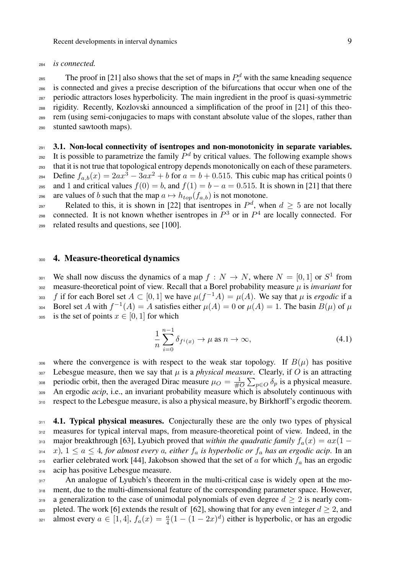#### <sup>284</sup> *is connected.*

 $_{285}$  The proof in [21] also shows that the set of maps in  $P_{\epsilon}^{d}$  with the same kneading sequence is connected and gives a precise description of the bifurcations that occur when one of the periodic attractors loses hyperbolicity. The main ingredient in the proof is quasi-symmetric rigidity. Recently, Kozlovski announced a simplification of the proof in [21] of this theo-<sup>289</sup> rem (using semi-conjugacies to maps with constant absolute value of the slopes, rather than stunted sawtooth maps).

### $_{291}$  3.1. Non-local connectivity of isentropes and non-monotonicity in separate variables.

<sup>292</sup> It is possible to parametrize the family  $P^d$  by critical values. The following example shows <sup>293</sup> that it is not true that topological entropy depends monotonically on each of these parameters.  $\sum_{a=1}^{294}$  Define  $f_{a,b}(x)=2ax^3-3ax^2+b$  for  $a=b+0.515$ . This cubic map has critical points 0 295 and 1 and critical values  $f(0) = b$ , and  $f(1) = b - a = 0.515$ . It is shown in [21] that there 296 are values of *b* such that the map  $a \mapsto h_{top}(f_{a,b})$  is not monotone.

Related to this, it is shown in [22] that isentropes in  $P^d$ , when  $d \geq 5$  are not locally connected. It is not known whether isentropes in  $P^3$  or in  $P^4$  are locally connected. For <sup>299</sup> related results and questions, see [100].

#### <sup>300</sup> 4. Measure-theoretical dynamics

We shall now discuss the dynamics of a map  $f : N \to N$ , where  $N = [0, 1]$  or  $S<sup>1</sup>$  from <sup>302</sup> measure-theoretical point of view. Recall that a Borel probability measure *µ* is *invariant* for <sup>303</sup> f if for each Borel set  $A \subset [0, 1]$  we have  $\mu(f^{-1}A) = \mu(A)$ . We say that  $\mu$  is *ergodic* if a Borel set *A* with  $f^{-1}(A) = A$  satisfies either  $\mu(A) = 0$  or  $\mu(A) = 1$ . The basin  $B(\mu)$  of  $\mu$ 305 is the set of points  $x \in [0, 1]$  for which

$$
\frac{1}{n}\sum_{i=0}^{n-1}\delta_{f^i(x)} \to \mu \text{ as } n \to \infty,
$$
\n(4.1)

306 where the convergence is with respect to the weak star topology. If  $B(\mu)$  has positive  $307$  Lebesgue measure, then we say that  $\mu$  is a *physical measure*. Clearly, if O is an attracting periodic orbit, then the averaged Dirac measure  $\mu_O = \frac{1}{\#O} \sum_{p \in O} \delta_p$  is a physical measure. <sup>309</sup> An ergodic *acip*, i.e., an invariant probability measure which is absolutely continuous with 310 respect to the Lebesgue measure, is also a physical measure, by Birkhorff's ergodic theorem.

311 4.1. Typical physical measures. Conjecturally these are the only two types of physical 312 measures for typical interval maps, from measure-theoretical point of view. Indeed, in the 313 major breakthrough [63], Lyubich proved that *within the quadratic family*  $f_a(x) = ax(1$  $x_3$ <sup>4</sup>,  $x$ ),  $1 \le a \le 4$ , for almost every a, either  $f_a$  is hyperbolic or  $f_a$  has an ergodic acip. In an 315 earlier celebrated work [44], Jakobson showed that the set of *a* for which  $f_a$  has an ergodic 316 acip has positive Lebesgue measure.

<sup>317</sup> An analogue of Lyubich's theorem in the multi-critical case is widely open at the mo-318 ment, due to the multi-dimensional feature of the corresponding parameter space. However,  $\alpha$  a generalization to the case of unimodal polynomials of even degree  $d > 2$  is nearly com-<sup>320</sup> pleted. The work [6] extends the result of [62], showing that for any even integer  $d \ge 2$ , and almost every  $a \in [1, 4]$ ,  $f_a(x) = \frac{a}{4}(1 - (1 - 2x)^d)$  either is hyperbolic, or has an ergodic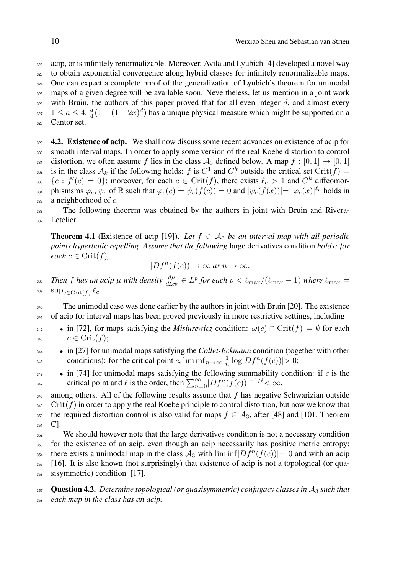to obtain exponential convergence along hybrid classes for infinitely renormalizable maps. <sup>324</sup> One can expect a complete proof of the generalization of Lyubich's theorem for unimodal maps of a given degree will be available soon. Nevertheless, let us mention in a joint work with Bruin, the authors of this paper proved that for all even integer  $d$ , and almost every <sup>327</sup>  $1 \le a \le 4$ ,  $\frac{a}{4}(1 - (1 - 2x)^d)$  has a unique physical measure which might be supported on a Cantor set.

 $\frac{4.2}{289}$  4.2. Existence of acip. We shall now discuss some recent advances on existence of acip for 330 smooth interval maps. In order to apply some version of the real Koebe distortion to control 331 distortion, we often assume f lies in the class  $A_3$  defined below. A map  $f : [0, 1] \rightarrow [0, 1]$ is in the class  $A_k$  if the following holds: *f* is  $C^1$  and  $C^k$  outside the critical set Crit(*f*) = *fc* :  $f'(c) = 0$ }; moreover, for each  $c \in \text{Crit}(f)$ , there exists  $\ell_c > 1$  and  $C^k$  diffeomor- $\varphi_c$ ,  $\psi_c$  of R such that  $\varphi_c(c) = \psi_c(f(c)) = 0$  and  $|\psi_c(f(x))| = |\varphi_c(x)|^{\ell_c}$  holds in <sup>335</sup> a neighborhood of *c*.

<sup>336</sup> The following theorem was obtained by the authors in joint with Bruin and Rivera-337 Letelier.

**Theorem 4.1** (Existence of acip [19]). Let  $f \in A_3$  be an interval map with all periodic *points hyperbolic repelling. Assume that the following* large derivatives condition *holds: for each*  $c \in \text{Crit}(f)$ *,* 

$$
|Df^n(f(c))| \to \infty \text{ as } n \to \infty.
$$

*Then f has an acip*  $\mu$  *with density*  $\frac{d\mu}{dLeb} \in L^p$  for each  $p < \ell_{\max}/(\ell_{\max} - 1)$  where  $\ell_{\max} = 1$ 339  $\sup_{c \in \text{Crit}(f)} \ell_c$ .

<sup>340</sup> The unimodal case was done earlier by the authors in joint with Bruin [20]. The existence <sup>341</sup> of acip for interval maps has been proved previously in more restrictive settings, including

- in [72], for maps satisfying the *Misiurewicz* condition:  $\omega(c) \cap \text{Crit}(f) = \emptyset$  for each  $c \in \text{Crit}(f);$
- <sup>344</sup> *•* in [27] for unimodal maps satisfying the *Collet-Eckmann* condition (together with other conditions): for the critical point *c*,  $\liminf_{n\to\infty} \frac{1}{n} \log |Df^n(f(c))| > 0;$
- <sup>346</sup> *•* in [74] for unimodal maps satisfying the following summability condition: if *c* is the critical point and  $\ell$  is the order, then  $\sum_{n=0}^{\infty} |Df^n(f(c))|^{-1/\ell} < \infty$ ,

 $348$  among others. All of the following results assume that  $f$  has negative Schwarizian outside  $349$  Crit $(f)$  in order to apply the real Koebe principle to control distortion, but now we know that <sup>350</sup> the required distortion control is also valid for maps  $f \in A_3$ , after [48] and [101, Theorem  $351 \text{ C}.$ 

<sup>352</sup> We should however note that the large derivatives condition is not a necessary condition <sup>353</sup> for the existence of an acip, even though an acip necessarily has positive metric entropy: there exists a unimodal map in the class  $A_3$  with  $\liminf |Df^n(f(c))|=0$  and with an acip <sup>355</sup> [16]. It is also known (not surprisingly) that existence of acip is not a topological (or qua-<sup>356</sup> sisymmetric) condition [17].

<sup>357</sup> Question 4.2. *Determine topological (or quasisymmetric) conjugacy classes in A*<sup>3</sup> *such that* <sup>358</sup> *each map in the class has an acip.*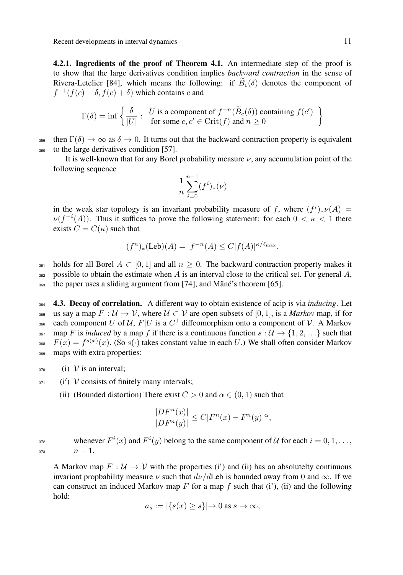Recent developments in interval dynamics 11 methods of the state of the state 11 methods of 11 methods in the state of the state of the state of the state of the state of the state of the state of the state of the state of

4.2.1. Ingredients of the proof of Theorem 4.1. An intermediate step of the proof is to show that the large derivatives condition implies *backward contraction* in the sense of Rivera-Letelier [84], which means the following: if  $B_c(\delta)$  denotes the component of  $f^{-1}(f(c) - \delta, f(c) + \delta)$  which contains *c* and

$$
\Gamma(\delta) = \inf \left\{ \frac{\delta}{|U|} : \begin{array}{l} U \text{ is a component of } f^{-n}(\widetilde{B}_c(\delta)) \text{ containing } f(c') \\ \text{for some } c, c' \in \text{Crit}(f) \text{ and } n \ge 0 \end{array} \right\}
$$

359 then  $\Gamma(\delta) \to \infty$  as  $\delta \to 0$ . It turns out that the backward contraction property is equivalent <sup>360</sup> to the large derivatives condition [57].

It is well-known that for any Borel probability measure  $\nu$ , any accumulation point of the following sequence

$$
\frac{1}{n} \sum_{i=0}^{n-1} (f^i)_*(\nu)
$$

in the weak star topology is an invariant probability measure of *f*, where  $(f^i)_* \nu(A) =$  $\nu(f^{-i}(A))$ . Thus it suffices to prove the following statement: for each  $0 < \kappa < 1$  there exists  $C = C(\kappa)$  such that

$$
(f^n)_*(\text{Leb})(A) = |f^{-n}(A)| \le C |f(A)|^{\kappa/\ell_{\text{max}}},
$$

361 holds for all Borel  $A \subset [0, 1]$  and all  $n \ge 0$ . The backward contraction property makes it  $362$  possible to obtain the estimate when *A* is an interval close to the critical set. For general *A*, <sup>363</sup> the paper uses a sliding argument from [74], and Mãné's theorem [65].

364 **4.3. Decay of correlation.** A different way to obtain existence of acip is via *inducing*. Let 365 us say a map  $F: \mathcal{U} \to \mathcal{V}$ , where  $\mathcal{U} \subset \mathcal{V}$  are open subsets of [0, 1], is a *Markov* map, if for each component *U* of *U*,  $F|U$  is a  $C^1$  diffeomorphism onto a component of *V*. A Markov  $\lim_{367}$  map *F* is *induced* by a map *f* if there is a continuous function  $s : \mathcal{U} \to \{1, 2, \ldots\}$  such that <sup>368</sup>  $F(x) = f^{s(x)}(x)$ . (So  $s(\cdot)$  takes constant value in each *U*.) We shall often consider Markov <sup>369</sup> maps with extra properties:

- $_{370}$  (i) *V* is an interval;
- $2371$  (i') *V* consists of finitely many intervals;
	- (ii) (Bounded distortion) There exist  $C > 0$  and  $\alpha \in (0, 1)$  such that

$$
\frac{|DF^n(x)|}{|DF^n(y)|} \le C|F^n(x) - F^n(y)|^{\alpha},
$$

whenever  $F^i(x)$  and  $F^i(y)$  belong to the same component of  $U$  for each  $i = 0, 1, \ldots$ ,  $\frac{373}{2}$   $n-1$ .

A Markov map  $F : U \to V$  with the properties (i') and (ii) has an absolutelty continuous invariant propbability measure  $\nu$  such that  $d\nu/d$ Leb is bounded away from 0 and  $\infty$ . If we can construct an induced Markov map  $F$  for a map  $f$  such that (i'), (ii) and the following hold:

$$
a_s := |\{s(x) \ge s\}| \to 0 \text{ as } s \to \infty,
$$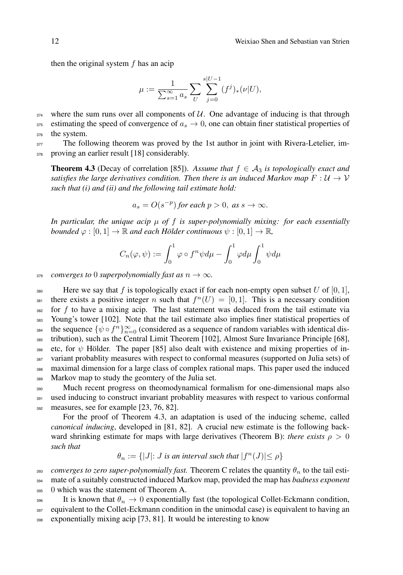then the original system *f* has an acip

$$
\mu := \frac{1}{\sum_{s=1}^{\infty} a_s} \sum_{U} \sum_{j=0}^{s|U-1} (f^j)_*(\nu|U),
$$

 $374$  where the sum runs over all components of  $U$ . One advantage of inducing is that through 375 estimating the speed of convergence of  $a_s \to 0$ , one can obtain finer statistical properties of <sup>376</sup> the system.

 $377$  The following theorem was proved by the 1st author in joint with Rivera-Letelier, im-378 proving an earlier result [18] considerably.

**Theorem 4.3** (Decay of correlation [85]). Assume that  $f \in A_3$  is topologically exact and *satisfies the large derivatives condition. Then there is an induced Markov map*  $F: \mathcal{U} \to \mathcal{V}$ *such that (i) and (ii) and the following tail estimate hold:*

$$
a_s = O(s^{-p})
$$
 for each  $p > 0$ , as  $s \to \infty$ .

*In particular, the unique acip µ of f is super-polynomially mixing: for each essentially bounded*  $\varphi : [0, 1] \to \mathbb{R}$  *and each Hölder continuous*  $\psi : [0, 1] \to \mathbb{R}$ *,* 

$$
C_n(\varphi, \psi) := \int_0^1 \varphi \circ f^n \psi d\mu - \int_0^1 \varphi d\mu \int_0^1 \psi d\mu
$$

379 *converges to* 0 *superpolynomially fast as*  $n \to \infty$ *.* 

380 Here we say that f is topologically exact if for each non-empty open subset U of  $[0, 1]$ , there exists a positive integer *n* such that  $f^n(U) = [0, 1]$ . This is a necessary condition <sup>382</sup> for *f* to have a mixing acip. The last statement was deduced from the tail estimate via <sup>383</sup> Young's tower [102]. Note that the tail estimate also implies finer statistical properties of the sequence  $\{\psi \circ f^n\}_{n=0}^{\infty}$  (considered as a sequence of random variables with identical dis-<sup>385</sup> tribution), such as the Central Limit Theorem [102], Almost Sure Invariance Principle [68], 386 etc, for  $\psi$  Hölder. The paper [85] also dealt with existence and mixing properties of in-<sup>387</sup> variant probablity measures with respect to conformal measures (supported on Julia sets) of <sup>388</sup> maximal dimension for a large class of complex rational maps. This paper used the induced <sup>389</sup> Markov map to study the geomtery of the Julia set.

<sup>390</sup> Much recent progress on theomodynamical formalism for one-dimensional maps also 391 used inducing to construct invariant probablity measures with respect to various conformal 392 measures, see for example [23, 76, 82].

For the proof of Theorem 4.3, an adaptation is used of the inducing scheme, called *canonical inducing*, developed in [81, 82]. A crucial new estimate is the following backward shrinking estimate for maps with large derivatives (Theorem B): *there exists*  $\rho > 0$ *such that*

$$
\theta_n := \{|J|: J \text{ is an interval such that } |f^n(J)| \le \rho\}
$$

393 *converges to zero super-polynomially fast.* Theorem C relates the quantity  $\theta_n$  to the tail esti-<sup>394</sup> mate of a suitably constructed induced Markov map, provided the map has *badness exponent* 395 0 which was the statement of Theorem A.

396 It is known that  $\theta_n \to 0$  exponentially fast (the topological Collet-Eckmann condition, <sup>397</sup> equivalent to the Collet-Eckmann condition in the unimodal case) is equivalent to having an <sup>398</sup> exponentially mixing acip [73, 81]. It would be interesting to know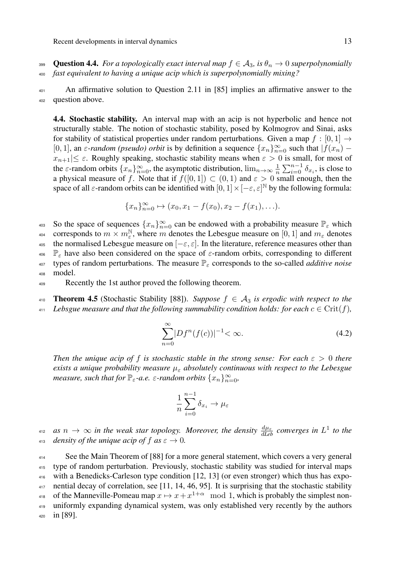**399** Question 4.4. *For a topologically exact interval map*  $f \in A_3$ *, is*  $\theta_n \to 0$  *superpolynomially* <sup>400</sup> *fast equivalent to having a unique acip which is superpolynomially mixing?*

 $401$  An affirmative solution to Question 2.11 in [85] implies an affirmative answer to the <sup>402</sup> question above.

4.4. Stochastic stability. An interval map with an acip is not hyperbolic and hence not structurally stable. The notion of stochastic stability, posed by Kolmogrov and Sinai, asks for stability of statistical properties under random perturbations. Given a map  $f : [0, 1] \rightarrow$ [0, 1], an  $\varepsilon$ -random (pseudo) orbit is by definition a sequence  $\{x_n\}_{n=0}^{\infty}$  such that  $|f(x_n) |x_{n+1}| \leq \varepsilon$ . Roughly speaking, stochastic stability means when  $\varepsilon > 0$  is small, for most of the  $\varepsilon$ -random orbits  $\{x_n\}_{n=0}^{\infty}$ , the asymptotic distribution,  $\lim_{n\to\infty} \frac{1}{n} \sum_{i=0}^{n-1} \delta_{x_i}$ , is close to a physical measure of *f*. Note that if  $f([0,1]) \subset (0,1)$  and  $\varepsilon > 0$  small enough, then the space of all  $\varepsilon$ -random orbits can be identified with  $[0,1] \times [-\varepsilon, \varepsilon]^{\mathbb{N}}$  by the following formula:

$$
\{x_n\}_{n=0}^{\infty} \mapsto (x_0, x_1 - f(x_0), x_2 - f(x_1), \ldots).
$$

 $\frac{1}{2}$  So the space of sequences  $\{x_n\}_{n=0}^{\infty}$  can be endowed with a probability measure  $\mathbb{P}_{\varepsilon}$  which corresponds to  $m \times m_{\varepsilon}^{\mathbb{N}}$ , where *m* denotes the Lebesgue measure on [0, 1] and  $m_{\varepsilon}$  denotes 405 the normalised Lebesgue measure on  $[-\varepsilon, \varepsilon]$ . In the literature, reference measures other than <sup>406</sup>  $\mathbb{P}_{\varepsilon}$  have also been considered on the space of  $\varepsilon$ -random orbits, corresponding to different  $407$  types of random perturbations. The measure  $\mathbb{P}_{\varepsilon}$  corresponds to the so-called *additive noise* <sup>408</sup> model.

<sup>409</sup> Recently the 1st author proved the following theorem.

410 **Theorem 4.5** (Stochastic Stability [88]). *Suppose*  $f \in A_3$  *is ergodic with respect to the* 411 Lebsgue measure and that the following summability condition holds: for each  $c \in \text{Crit}(f)$ ,

$$
\sum_{n=0}^{\infty} |Df^n(f(c))|^{-1} < \infty. \tag{4.2}
$$

*Then the unique acip of f is stochastic stable in the strong sense: For each*  $\epsilon > 0$  *there exists a unique probability measure*  $\mu_{\varepsilon}$  *absolutely continuous with respect to the Lebesgue measure, such that for*  $\mathbb{P}_{\varepsilon}$ *-a.e.*  $\varepsilon$ *-random orbits*  $\{x_n\}_{n=0}^{\infty}$ *,* 

$$
\frac{1}{n}\sum_{i=0}^{n-1}\delta_{x_i}\to\mu_\varepsilon
$$

*as*  $n \to \infty$  in the weak star topology. Moreover, the density  $\frac{d\mu_{\varepsilon}}{dL_{\varepsilon}b}$  converges in  $L^1$  to the 413 *density of the unique acip of f as*  $\varepsilon \to 0$ *.* 

 See the Main Theorem of [88] for a more general statement, which covers a very general type of random perturbation. Previously, stochastic stability was studied for interval maps with a Benedicks-Carleson type condition [12, 13] (or even stronger) which thus has expo- nential decay of correlation, see [11, 14, 46, 95]. It is surprising that the stochastic stability <sup>418</sup> of the Manneville-Pomeau map  $x \mapsto x + x^{1+\alpha} \mod 1$ , which is probably the simplest non- uniformly expanding dynamical system, was only established very recently by the authors <sup>420</sup> in [89].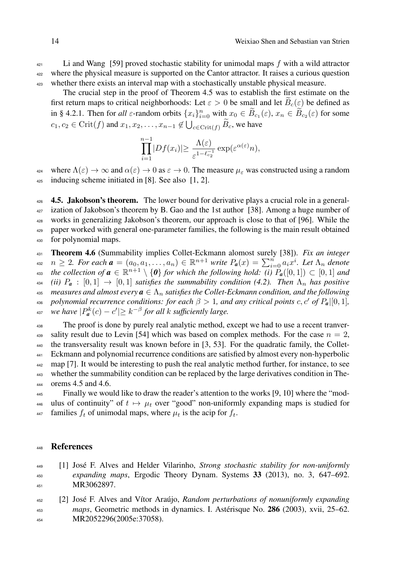<sup>421</sup> Li and Wang [59] proved stochastic stability for unimodal maps *f* with a wild attractor <sup>422</sup> where the physical measure is supported on the Cantor attractor. It raises a curious question <sup>423</sup> whether there exists an interval map with a stochastically unstable physical measure.

The crucial step in the proof of Theorem 4.5 was to establish the first estimate on the first return maps to critical neighborhoods: Let  $\varepsilon > 0$  be small and let  $B_c(\varepsilon)$  be defined as in § 4.2.1. Then for *all*  $\varepsilon$ -random orbits  $\{x_i\}_{i=0}^n$  with  $x_0 \in \widetilde{B}_{c_1}(\varepsilon)$ ,  $x_n \in \widetilde{B}_{c_2}(\varepsilon)$  for some  $c_1, c_2 \in \text{Crit}(f)$  and  $x_1, x_2, \ldots, x_{n-1} \notin \bigcup_{c \in \text{Crit}(f)} \widetilde{B}_c$ , we have

$$
\prod_{i=1}^{n-1} |Df(x_i)| \ge \frac{\Lambda(\varepsilon)}{\varepsilon^{1-\ell_{c_2}^{-1}}} \exp(\varepsilon^{\alpha(\varepsilon)} n),
$$

where  $\Lambda(\varepsilon) \to \infty$  and  $\alpha(\varepsilon) \to 0$  as  $\varepsilon \to 0$ . The measure  $\mu_{\varepsilon}$  was constructed using a random  $_{425}$  inducing scheme initiated in [8]. See also [1, 2].

 $4.5.$  **Jakobson's theorem.** The lower bound for derivative plays a crucial role in a general- ization of Jakobson's theorem by B. Gao and the 1st author [38]. Among a huge number of works in generalizing Jakobson's theorem, our approach is close to that of [96]. While the paper worked with general one-parameter families, the following is the main result obtained for polynomial maps.

<sup>431</sup> Theorem 4.6 (Summability implies Collet-Eckmann alomost surely [38]). *Fix an integer* 432  $n \geq 2$ . For each  $\boldsymbol{a} = (a_0, a_1, \ldots, a_n) \in \mathbb{R}^{n+1}$  write  $P_{\boldsymbol{a}}(x) = \sum_{i=0}^{n} a_i x^i$ . Let  $\Lambda_n$  denote *the collection of*  $\boldsymbol{a} \in \mathbb{R}^{n+1} \setminus \{\boldsymbol{0}\}$  *for which the following hold:*  $(i)$   $P_{\boldsymbol{a}}([0,1]) \subset [0,1]$  *and*  $\{434 \text{ (ii) } P_a : [0,1] \rightarrow [0,1] \text{ satisfies the summability condition (4.2). Then } \Lambda_n \text{ has positive } \lambda_n$  $\mathbf{a}_{45}$  *measures and almost every*  $\mathbf{a} \in \Lambda_n$  *satisfies the Collet-Eckmann condition, and the following as polynomial recurrence conditions: for each*  $\beta > 1$ *, and any critical points c, c' of*  $P_a|[0,1]$ *,* <sup>437</sup> *we have*  $|P^k_{\boldsymbol{a}}(c) - c'| \geq k^{-\beta}$  for all *k* sufficiently large.

 The proof is done by purely real analytic method, except we had to use a recent tranver-<sup>439</sup> sality result due to Levin [54] which was based on complex methods. For the case  $n = 2$ , the transversality result was known before in [3, 53]. For the quadratic family, the Collet- Eckmann and polynomial recurrence conditions are satisfied by almost every non-hyperbolic map [7]. It would be interesting to push the real analytic method further, for instance, to see whether the summability condition can be replaced by the large derivatives condition in The-orems 4.5 and 4.6.

<sup>445</sup> Finally we would like to draw the reader's attention to the works [9, 10] where the "mod-446 ulus of continuity" of  $t \mapsto \mu_t$  over "good" non-uniformly expanding maps is studied for 447 families  $f_t$  of unimodal maps, where  $\mu_t$  is the acip for  $f_t$ .

#### <sup>448</sup> References

- <sup>449</sup> [1] José F. Alves and Helder Vilarinho, *Strong stochastic stability for non-uniformly* <sup>450</sup> *expanding maps*, Ergodic Theory Dynam. Systems 33 (2013), no. 3, 647–692. <sup>451</sup> MR3062897.
- <sup>452</sup> [2] José F. Alves and Vítor Araújo, *Random perturbations of nonuniformly expanding* <sup>453</sup> *maps*, Geometric methods in dynamics. I. Astérisque No. 286 (2003), xvii, 25–62. 454 MR2052296(2005e:37058).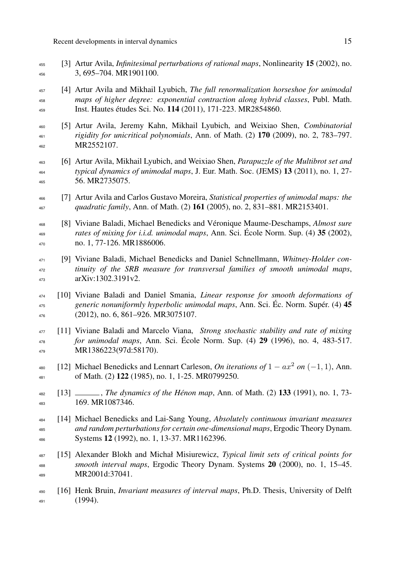- [3] Artur Avila, *Infinitesimal perturbations of rational maps*, Nonlinearity 15 (2002), no. 3, 695–704. MR1901100.
- [4] Artur Avila and Mikhail Lyubich, *The full renormalization horseshoe for unimodal maps of higher degree: exponential contraction along hybrid classes*, Publ. Math. Inst. Hautes études Sci. No. 114 (2011), 171-223. MR2854860.
- [5] Artur Avila, Jeremy Kahn, Mikhail Lyubich, and Weixiao Shen, *Combinatorial rigidity for unicritical polynomials*, Ann. of Math. (2) 170 (2009), no. 2, 783–797. MR2552107.
- [6] Artur Avila, Mikhail Lyubich, and Weixiao Shen, *Parapuzzle of the Multibrot set and typical dynamics of unimodal maps*, J. Eur. Math. Soc. (JEMS) 13 (2011), no. 1, 27- 56. MR2735075.
- [7] Artur Avila and Carlos Gustavo Moreira, *Statistical properties of unimodal maps: the quadratic family*, Ann. of Math. (2) 161 (2005), no. 2, 831–881. MR2153401.

 [8] Viviane Baladi, Michael Benedicks and Véronique Maume-Deschamps, *Almost sure rates of mixing for i.i.d. unimodal maps*, Ann. Sci. École Norm. Sup. (4) 35 (2002), no. 1, 77-126. MR1886006.

- [9] Viviane Baladi, Michael Benedicks and Daniel Schnellmann, *Whitney-Holder con- tinuity of the SRB measure for transversal families of smooth unimodal maps*, arXiv:1302.3191v2.
- [10] Viviane Baladi and Daniel Smania, *Linear response for smooth deformations of generic nonuniformly hyperbolic unimodal maps*, Ann. Sci. Éc. Norm. Supér. (4) 45 (2012), no. 6, 861–926. MR3075107.
- [11] Viviane Baladi and Marcelo Viana, *Strong stochastic stability and rate of mixing for unimodal maps*, Ann. Sci. École Norm. Sup. (4) 29 (1996), no. 4, 483-517. MR1386223(97d:58170).
- <sup>480</sup> [12] Michael Benedicks and Lennart Carleson, *On iterations of*  $1 ax^2$  on  $(-1, 1)$ , Ann. of Math. (2) 122 (1985), no. 1, 1-25. MR0799250.
- [13] , *The dynamics of the Hénon map*, Ann. of Math. (2) 133 (1991), no. 1, 73- 169. MR1087346.

 [14] Michael Benedicks and Lai-Sang Young, *Absolutely continuous invariant measures and random perturbations for certain one-dimensional maps*, Ergodic Theory Dynam. Systems 12 (1992), no. 1, 13-37. MR1162396.

- [15] Alexander Blokh and Michał Misiurewicz, *Typical limit sets of critical points for smooth interval maps*, Ergodic Theory Dynam. Systems 20 (2000), no. 1, 15–45. MR2001d:37041.
- [16] Henk Bruin, *Invariant measures of interval maps*, Ph.D. Thesis, University of Delft (1994).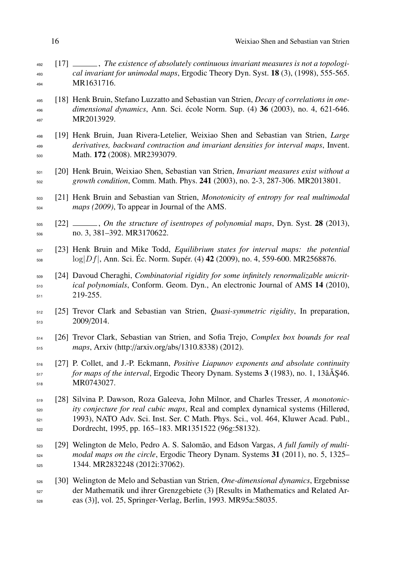- [17] , *The existence of absolutely continuous invariant measures is not a topologi- cal invariant for unimodal maps*, Ergodic Theory Dyn. Syst. 18 (3), (1998), 555-565. MR1631716.
- [18] Henk Bruin, Stefano Luzzatto and Sebastian van Strien, *Decay of correlations in one- dimensional dynamics*, Ann. Sci. école Norm. Sup. (4) 36 (2003), no. 4, 621-646. 497 MR2013929.
- [19] Henk Bruin, Juan Rivera-Letelier, Weixiao Shen and Sebastian van Strien, *Large derivatives, backward contraction and invariant densities for interval maps*, Invent. Math. 172 (2008). MR2393079.
- [20] Henk Bruin, Weixiao Shen, Sebastian van Strien, *Invariant measures exist without a growth condition*, Comm. Math. Phys. 241 (2003), no. 2-3, 287-306. MR2013801.
- [21] Henk Bruin and Sebastian van Strien, *Monotonicity of entropy for real multimodal maps (2009)*, To appear in Journal of the AMS.
- [22] , *On the structure of isentropes of polynomial maps*, Dyn. Syst. 28 (2013), no. 3, 381–392. MR3170622.
- [23] Henk Bruin and Mike Todd, *Equilibrium states for interval maps: the potential* log*|Df|*, Ann. Sci. Éc. Norm. Supér. (4) 42 (2009), no. 4, 559-600. MR2568876.
- [24] Davoud Cheraghi, *Combinatorial rigidity for some infinitely renormalizable unicrit- ical polynomials*, Conform. Geom. Dyn., An electronic Journal of AMS 14 (2010), 511 219-255.
- [25] Trevor Clark and Sebastian van Strien, *Quasi-symmetric rigidity*, In preparation, 2009/2014.
- [26] Trevor Clark, Sebastian van Strien, and Sofia Trejo, *Complex box bounds for real maps*, Arxiv (http://arxiv.org/abs/1310.8338) (2012).
- [27] P. Collet, and J.-P. Eckmann, *Positive Liapunov exponents and absolute continuity for maps of the interval*, Ergodic Theory Dynam. Systems 3 (1983), no. 1, 13âA \$46. MR0743027.
- [28] Silvina P. Dawson, Roza Galeeva, John Milnor, and Charles Tresser, *A monotonic- ity conjecture for real cubic maps*, Real and complex dynamical systems (Hillerød, 1993), NATO Adv. Sci. Inst. Ser. C Math. Phys. Sci., vol. 464, Kluwer Acad. Publ., Dordrecht, 1995, pp. 165–183. MR1351522 (96g:58132).
- [29] Welington de Melo, Pedro A. S. Salomão, and Edson Vargas, *A full family of multi- modal maps on the circle*, Ergodic Theory Dynam. Systems 31 (2011), no. 5, 1325– 1344. MR2832248 (2012i:37062).
- [30] Welington de Melo and Sebastian van Strien, *One-dimensional dynamics*, Ergebnisse der Mathematik und ihrer Grenzgebiete (3) [Results in Mathematics and Related Ar-eas (3)], vol. 25, Springer-Verlag, Berlin, 1993. MR95a:58035.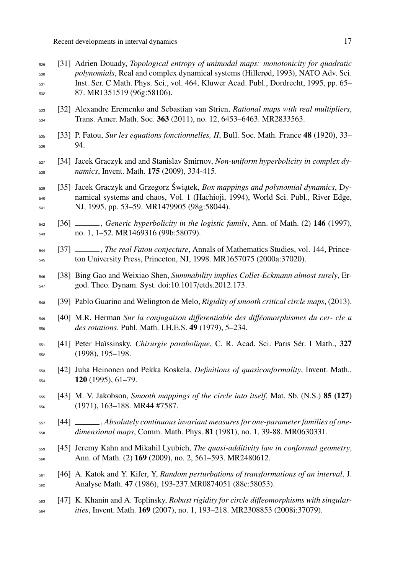- [31] Adrien Douady, *Topological entropy of unimodal maps: monotonicity for quadratic polynomials*, Real and complex dynamical systems (Hillerød, 1993), NATO Adv. Sci. Inst. Ser. C Math. Phys. Sci., vol. 464, Kluwer Acad. Publ., Dordrecht, 1995, pp. 65– 87. MR1351519 (96g:58106).
- [32] Alexandre Eremenko and Sebastian van Strien, *Rational maps with real multipliers*, <sup>534</sup> Trans. Amer. Math. Soc. **363** (2011), no. 12, 6453–6463. MR2833563.
- [33] P. Fatou, *Sur les equations fonctionnelles, II*, Bull. Soc. Math. France 48 (1920), 33– 94.
- [34] Jacek Graczyk and and Stanislav Smirnov, *Non-uniform hyperbolicity in complex dy-namics*, Invent. Math. 175 (2009), 334-415.
- <sub>539</sub> [35] Jacek Graczyk and Grzegorz Świątek, *Box mappings and polynomial dynamics*, Dy- namical systems and chaos, Vol. 1 (Hachioji, 1994), World Sci. Publ., River Edge, NJ, 1995, pp. 53–59. MR1479905 (98g:58044).
- [36] , *Generic hyperbolicity in the logistic family*, Ann. of Math. (2) 146 (1997), no. 1, 1–52. MR1469316 (99b:58079).
- [37] , *The real Fatou conjecture*, Annals of Mathematics Studies, vol. 144, Prince-ton University Press, Princeton, NJ, 1998. MR1657075 (2000a:37020).
- [38] Bing Gao and Weixiao Shen, *Summability implies Collet-Eckmann almost surely*, Er-god. Theo. Dynam. Syst. doi:10.1017/etds.2012.173.
- [39] Pablo Guarino and Welington de Melo, *Rigidity of smooth critical circle maps*, (2013).
- [40] M.R. Herman *Sur la conjugaison di*↵*erentiable des di*↵*éomorphismes du cer- cle a des rotations*. Publ. Math. I.H.E.S. 49 (1979), 5–234.
- [41] Peter Haïssinsky, *Chirurgie parabolique*, C. R. Acad. Sci. Paris Sér. I Math., 327 (1998), 195–198.
- [42] Juha Heinonen and Pekka Koskela, *Definitions of quasiconformality*, Invent. Math., (1995), 61–79.
- [43] M. V. Jakobson, *Smooth mappings of the circle into itself*, Mat. Sb. (N.S.) 85 (127) (1971), 163–188. MR44 #7587.
- [44] , *Absolutely continuous invariant measures for one-parameter families of one-dimensional maps*, Comm. Math. Phys. 81 (1981), no. 1, 39-88. MR0630331.
- [45] Jeremy Kahn and Mikahil Lyubich, *The quasi-additivity law in conformal geometry*, Ann. of Math. (2) 169 (2009), no. 2, 561–593. MR2480612.
- [46] A. Katok and Y. Kifer, Y, *Random perturbations of transformations of an interval*, J. Analyse Math. 47 (1986), 193-237.MR0874051 (88c:58053).
- 563 [47] K. Khanin and A. Teplinsky, *Robust rigidity for circle diffeomorphisms with singular*-*ities*, Invent. Math. 169 (2007), no. 1, 193–218. MR2308853 (2008i:37079).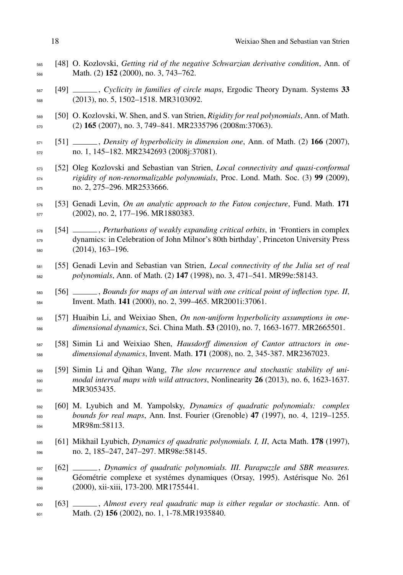- [48] O. Kozlovski, *Getting rid of the negative Schwarzian derivative condition*, Ann. of Math. (2) 152 (2000), no. 3, 743–762.
- [49] , *Cyclicity in families of circle maps*, Ergodic Theory Dynam. Systems 33 (2013), no. 5, 1502–1518. MR3103092.
- [50] O. Kozlovski, W. Shen, and S. van Strien, *Rigidity for real polynomials*, Ann. of Math. (2) 165 (2007), no. 3, 749–841. MR2335796 (2008m:37063).
- $[51]$   $\_\_\_\_\_\_\$ . *Density of hyperbolicity in dimension one*. Ann. of Math. (2) 166 (2007), no. 1, 145–182. MR2342693 (2008j:37081).
- [52] Oleg Kozlovski and Sebastian van Strien, *Local connectivity and quasi-conformal rigidity of non-renormalizable polynomials*, Proc. Lond. Math. Soc. (3) 99 (2009), no. 2, 275–296. MR2533666.
- [53] Genadi Levin, *On an analytic approach to the Fatou conjecture*, Fund. Math. 171 (2002), no. 2, 177–196. MR1880383.

 [54] , *Perturbations of weakly expanding critical orbits*, in 'Frontiers in complex dynamics: in Celebration of John Milnor's 80th birthday', Princeton University Press (2014), 163–196.

- [55] Genadi Levin and Sebastian van Strien, *Local connectivity of the Julia set of real polynomials*, Ann. of Math. (2) 147 (1998), no. 3, 471–541. MR99e:58143.
- [56] , *Bounds for maps of an interval with one critical point of inflection type. II*, Invent. Math. 141 (2000), no. 2, 399–465. MR2001i:37061.
- [57] Huaibin Li, and Weixiao Shen, *On non-uniform hyperbolicity assumptions in one-dimensional dynamics*, Sci. China Math. 53 (2010), no. 7, 1663-1677. MR2665501.
- 587 [58] Simin Li and Weixiao Shen, *Hausdorff dimension of Cantor attractors in one-dimensional dynamics*, Invent. Math. 171 (2008), no. 2, 345-387. MR2367023.
- [59] Simin Li and Qihan Wang, *The slow recurrence and stochastic stability of uni- modal interval maps with wild attractors*, Nonlinearity 26 (2013), no. 6, 1623-1637. 591 MR3053435.
- [60] M. Lyubich and M. Yampolsky, *Dynamics of quadratic polynomials: complex bounds for real maps*, Ann. Inst. Fourier (Grenoble) 47 (1997), no. 4, 1219–1255. MR98m:58113.
- [61] Mikhail Lyubich, *Dynamics of quadratic polynomials. I, II*, Acta Math. 178 (1997), no. 2, 185–247, 247–297. MR98e:58145.
- [62] , *Dynamics of quadratic polynomials. III. Parapuzzle and SBR measures.* Géométrie complexe et systémes dynamiques (Orsay, 1995). Astérisque No. 261 (2000), xii-xiii, 173-200. MR1755441.
- [63] , *Almost every real quadratic map is either regular or stochastic.* Ann. of Math. (2) 156 (2002), no. 1, 1-78.MR1935840.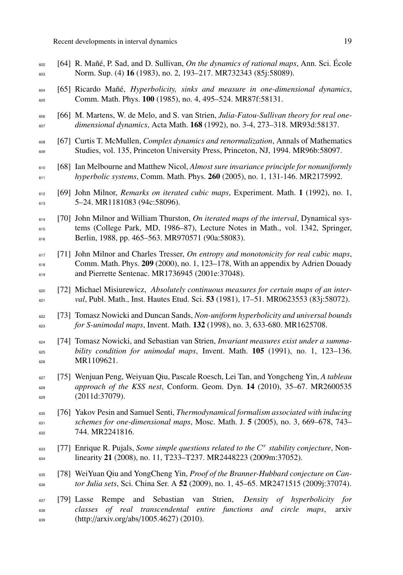[64] R. Mañé, P. Sad, and D. Sullivan, *On the dynamics of rational maps*, Ann. Sci. École Norm. Sup. (4) 16 (1983), no. 2, 193–217. MR732343 (85j:58089). [65] Ricardo Mañé, *Hyperbolicity, sinks and measure in one-dimensional dynamics*, Comm. Math. Phys. 100 (1985), no. 4, 495–524. MR87f:58131. [66] M. Martens, W. de Melo, and S. van Strien, *Julia-Fatou-Sullivan theory for real one- dimensional dynamics*, Acta Math. 168 (1992), no. 3-4, 273–318. MR93d:58137. [67] Curtis T. McMullen, *Complex dynamics and renormalization*, Annals of Mathematics Studies, vol. 135, Princeton University Press, Princeton, NJ, 1994. MR96b:58097. [68] Ian Melbourne and Matthew Nicol, *Almost sure invariance principle for nonuniformly hyperbolic systems*, Comm. Math. Phys. 260 (2005), no. 1, 131-146. MR2175992. [69] John Milnor, *Remarks on iterated cubic maps*, Experiment. Math. 1 (1992), no. 1, 5–24. MR1181083 (94c:58096). [70] John Milnor and William Thurston, *On iterated maps of the interval*, Dynamical sys- tems (College Park, MD, 1986–87), Lecture Notes in Math., vol. 1342, Springer, Berlin, 1988, pp. 465–563. MR970571 (90a:58083). [71] John Milnor and Charles Tresser, *On entropy and monotonicity for real cubic maps*, Comm. Math. Phys. 209 (2000), no. 1, 123–178, With an appendix by Adrien Douady 619 and Pierrette Sentenac. MR1736945 (2001e:37048). [72] Michael Misiurewicz, *Absolutely continuous measures for certain maps of an inter- val*, Publ. Math., Inst. Hautes Etud. Sci. 53 (1981), 17–51. MR0623553 (83j:58072). [73] Tomasz Nowicki and Duncan Sands, *Non-uniform hyperbolicity and universal bounds for S-unimodal maps*, Invent. Math. 132 (1998), no. 3, 633-680. MR1625708. [74] Tomasz Nowicki, and Sebastian van Strien, *Invariant measures exist under a summa- bility condition for unimodal maps*, Invent. Math. 105 (1991), no. 1, 123–136. MR1109621. [75] Wenjuan Peng, Weiyuan Qiu, Pascale Roesch, Lei Tan, and Yongcheng Yin, *A tableau approach of the KSS nest*, Conform. Geom. Dyn. 14 (2010), 35–67. MR2600535 (2011d:37079). [76] Yakov Pesin and Samuel Senti, *Thermodynamical formalism associated with inducing schemes for one-dimensional maps*, Mosc. Math. J. 5 (2005), no. 3, 669–678, 743– 632 744. MR2241816.  $_{633}$  [77] Enrique R. Pujals, *Some simple questions related to the*  $C<sup>r</sup>$  *stability conjecture*, Non- $\frac{634}{634}$  linearity 21 (2008), no. 11, T233–T237. MR2448223 (2009m:37052). [78] WeiYuan Qiu and YongCheng Yin, *Proof of the Branner-Hubbard conjecture on Can- tor Julia sets*, Sci. China Ser. A 52 (2009), no. 1, 45–65. MR2471515 (2009j:37074). [79] Lasse Rempe and Sebastian van Strien, *Density of hyperbolicity for classes of real transcendental entire functions and circle maps*, arxiv (http://arxiv.org/abs/1005.4627) (2010).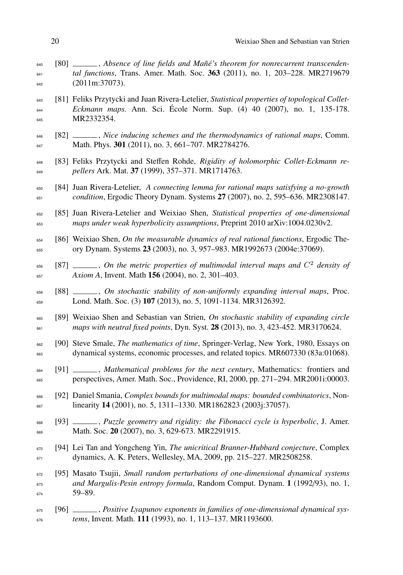- [80] , *Absence of line fields and Mañé's theorem for nonrecurrent transcenden- tal functions*, Trans. Amer. Math. Soc. 363 (2011), no. 1, 203–228. MR2719679 (2011m:37073).
- [81] Feliks Przytycki and Juan Rivera-Letelier, *Statistical properties of topological Collet- Eckmann maps.* Ann. Sci. École Norm. Sup. (4) 40 (2007), no. 1, 135-178. 645 MR2332354.
- [82] , *Nice inducing schemes and the thermodynamics of rational maps*, Comm. 647 Math. Phys. 301 (2011), no. 3, 661-707. MR2784276.
- 648 [83] Feliks Przytycki and Steffen Rohde, *Rigidity of holomorphic Collet-Eckmann re-pellers* Ark. Mat. 37 (1999), 357–371. MR1714763.
- [84] Juan Rivera-Letelier, *A connecting lemma for rational maps satisfying a no-growth condition*, Ergodic Theory Dynam. Systems 27 (2007), no. 2, 595–636. MR2308147.
- [85] Juan Rivera-Letelier and Weixiao Shen, *Statistical properties of one-dimensional maps under weak hyperbolicity assumptions*, Preprint 2010 arXiv:1004.0230v2.
- [86] Weixiao Shen, *On the measurable dynamics of real rational functions*, Ergodic The-ory Dynam. Systems 23 (2003), no. 3, 957–983. MR1992673 (2004e:37069).
- $[87]$   $\_\_\_\_\_\_$ , *On the metric properties of multimodal interval maps and*  $C^2$  *density of Axiom A*, Invent. Math 156 (2004), no. 2, 301–403.
- [88] , *On stochastic stability of non-uniformly expanding interval maps*, Proc. Lond. Math. Soc. (3) 107 (2013), no. 5, 1091-1134. MR3126392.
- [89] Weixiao Shen and Sebastian van Strien, *On stochastic stability of expanding circle maps with neutral fixed points*, Dyn. Syst. 28 (2013), no. 3, 423-452. MR3170624.
- [90] Steve Smale, *The mathematics of time*, Springer-Verlag, New York, 1980, Essays on dynamical systems, economic processes, and related topics. MR607330 (83a:01068).
- [91] , *Mathematical problems for the next century*, Mathematics: frontiers and perspectives, Amer. Math. Soc., Providence, RI, 2000, pp. 271–294. MR2001i:00003.
- [92] Daniel Smania, *Complex bounds for multimodal maps: bounded combinatorics*, Non-linearity 14 (2001), no. 5, 1311–1330. MR1862823 (2003j:37057).
- <sup>668</sup> [93] \_\_\_\_, *Puzzle geometry and rigidity: the Fibonacci cycle is hyperbolic*, J. Amer. Math. Soc. 20 (2007), no. 3, 629-673. MR2291915.
- [94] Lei Tan and Yongcheng Yin, *The unicritical Branner-Hubbard conjecture*, Complex dynamics, A. K. Peters, Wellesley, MA, 2009, pp. 215–227. MR2508258.
- [95] Masato Tsujii, *Small random perturbations of one-dimensional dynamical systems and Margulis-Pesin entropy formula*, Random Comput. Dynam. 1 (1992/93), no. 1, 59–89.
- <sup>675</sup> [96] \_\_\_\_, *Positive Lyapunov exponents in families of one-dimensional dynamical sys-tems*, Invent. Math. 111 (1993), no. 1, 113–137. MR1193600.